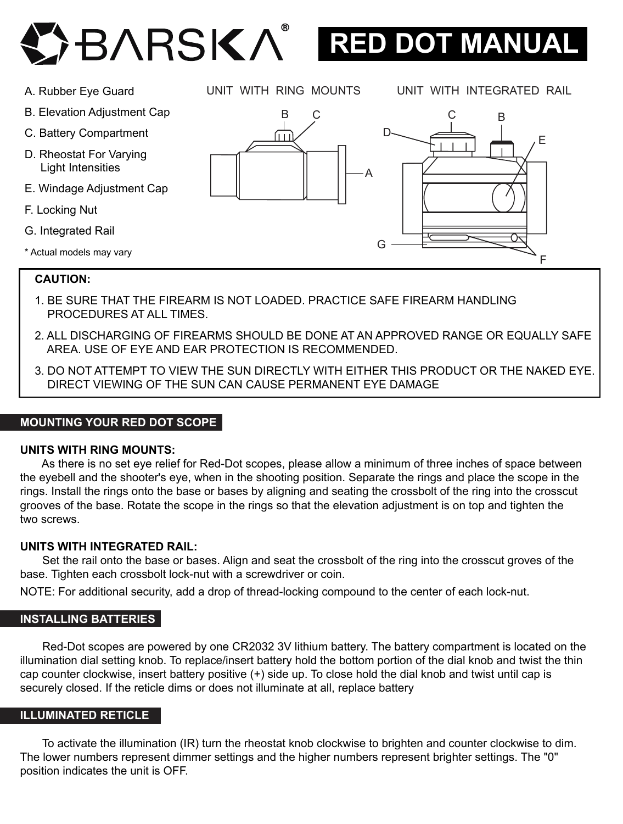



- B. Elevation Adjustment Cap
- C. Battery Compartment
- D. Rheostat For Varying Light Intensities
- E. Windage Adjustment Cap
- F. Locking Nut
- G. Integrated Rail
- \* Actual models may vary

UNIT WITH RING MOUNTS UNIT WITH INTEGRATED RAIL





### **CAUTION:**

- 1. BE SURE THAT THE FIREARM IS NOT LOADED. PRACTICE SAFE FIREARM HANDLING PROCEDURES AT ALL TIMES.
- 2. ALL DISCHARGING OF FIREARMS SHOULD BE DONE AT AN APPROVED RANGE OR EQUALLY SAFE AREA. USE OF EYE AND EAR PROTECTION IS RECOMMENDED.
- 3. DO NOT ATTEMPT TO VIEW THE SUN DIRECTLY WITH EITHER THIS PRODUCT OR THE NAKED EYE. DIRECT VIEWING OF THE SUN CAN CAUSE PERMANENT EYE DAMAGE

#### **MOUNTING YOUR RED DOT SCOPE**

### **UNITS WITH RING MOUNTS:**

 As there is no set eye relief for Red-Dot scopes, please allow a minimum of three inches of space between the eyebell and the shooter's eye, when in the shooting position. Separate the rings and place the scope in the rings. Install the rings onto the base or bases by aligning and seating the crossbolt of the ring into the crosscut grooves of the base. Rotate the scope in the rings so that the elevation adjustment is on top and tighten the two screws.

#### **UNITS WITH INTEGRATED RAIL:**

 Set the rail onto the base or bases. Align and seat the crossbolt of the ring into the crosscut groves of the base. Tighten each crossbolt lock-nut with a screwdriver or coin.

NOTE: For additional security, add a drop of thread-locking compound to the center of each lock-nut.

#### **INSTALLING BATTERIES**

 Red-Dot scopes are powered by one CR2032 3V lithium battery. The battery compartment is located on the illumination dial setting knob. To replace/insert battery hold the bottom portion of the dial knob and twist the thin cap counter clockwise, insert battery positive (+) side up. To close hold the dial knob and twist until cap is securely closed. If the reticle dims or does not illuminate at all, replace battery

## **ILLUMINATED RETICLE**

 To activate the illumination (IR) turn the rheostat knob clockwise to brighten and counter clockwise to dim. The lower numbers represent dimmer settings and the higher numbers represent brighter settings. The "0" position indicates the unit is OFF.